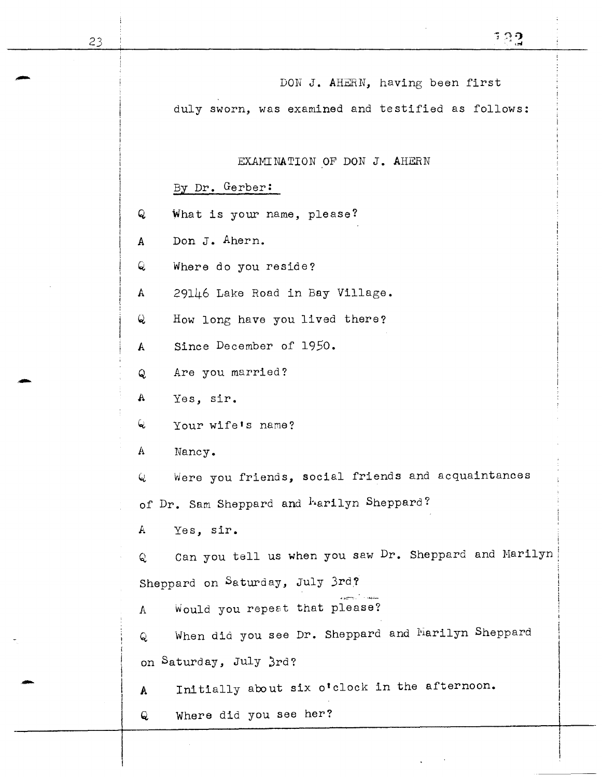DON J. AHERN, having been first duly sworn, was examined and testified as follows: EXAMINATION OF DON J. AHERN By Dr. Gerber: Q What is your name, please? A Don J. Ahern. Q Where do you reside? A 29146 Lake Road in Bay Village. *Q* How long have you lived there? A Since December of 1950. Q Are you married? a Are you man are you want are you want to the set of the set of the set of the set of the set of the set of the set of the set of the set of the set of the set of the set of the set of the set of the set of the set of the Q Your wife's name? A Nancy. Q Were you friends, social friends and acquaintances of Dr. Sam Sheppard and <sup>h</sup>arilyn Sheppard? A Yes, sir. i Q, can you tell us when you saw Dr. Sheppard and Marilyn: Sheppard on Saturday, July 3rd? A Would you repeat that please? Q. When did you see Dr. Sheppard and harilyn Sheppard on Saturday, July 3rd? A Initially about six o'clock in the afternoon. Q Where did you see her?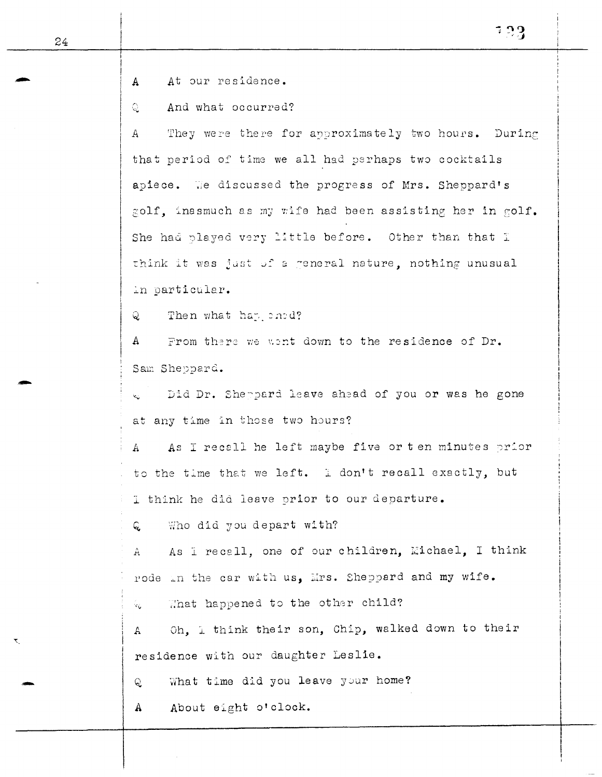!

 $\mathbf{I}$ 

-

-

 $\vert$ : A At our residence.

 $\overline{\mathbb{Q}}$ And what occurred?

 $\boldsymbol{A}$ They were there for approximately two hours. During that period of time we all had perhaps two cocktails apiece. We discussed the progress of Mrs. Sheppard's golf, inasmuch as my wife had been assisting her in golf. She had played very little before. Other than that I think it was just of a reneral nature, nothing unusual in particular.

Q. Then what has ened?

 $\begin{array}{|c|c|} \hline \end{array}$ From there we wont down to the residence of Dr. Sam Sheppard.

Did Dr. Sheppard leave ahead of you or was he gone at any time in those two hours?

A As I recall he left maybe five or ten minutes prior to the time that we left. I don't recall exactly, but I think he did leave prior to our departure.

Q Who did you depart with?

A As I recall, one of our children, Michael, I think rode in the car with us, Mrs. Sheppard and my wife.

That happened to the other child? Ÿй.

A Oh, I think their son, Chip, walked down to their residence with our daughter Leslie.

Q What time did you leave your home?

A About eight o'clock.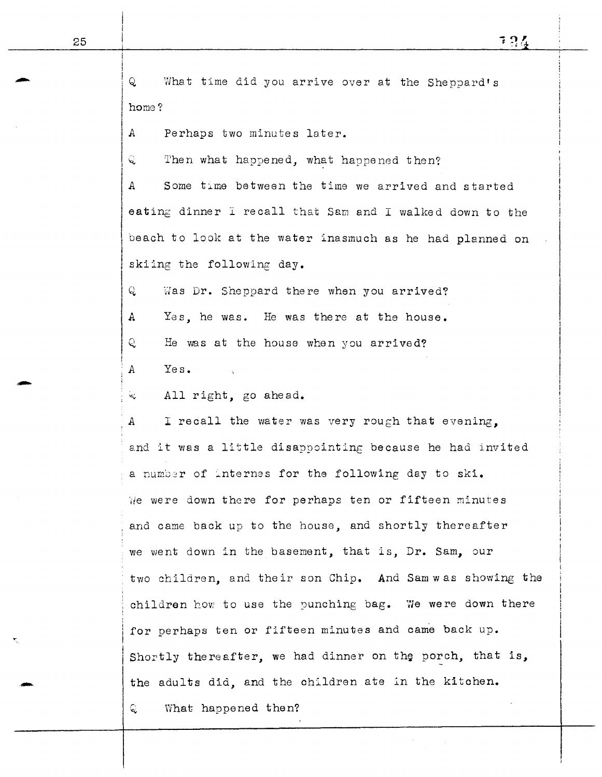724

 $\mathsf{Q}$ i What time did you arrive over at the Sheppard's home? IA  $C.$ Perhaps two minutes later. Then what happened, what happened then? A Some time between the time we arrived and started eating dinner I recall that Sam and I walked down to the beach to look at the water inasmuch as he had planned on skiing the following day. Q Was Dr. Sheppard there when you arrived? A Yes, he was. He was there at the house. Q, He was at the house when you arrived? ;A Yes. 4 All right, go ahead. *<sup>A</sup>*I recall the water was very rough that evening,, and it was a little disappointing because he had invited a number of internes for the following day to ski. We were down there for perhaps ten or fifteen minutes and came back up to the house, and shortly thereafter we went down in the basement, that is, Dr. Sam, our two children, and their son Chip. And Sam was showing the children how to use the punching bag. We were down there for perhaps ten or fifteen minutes and came back up. Shortly thereafter, we had dinner on the porch, that is, the adults did, and the children ate in the kitchen. Q. What happened then?

I

1

1

i

I

-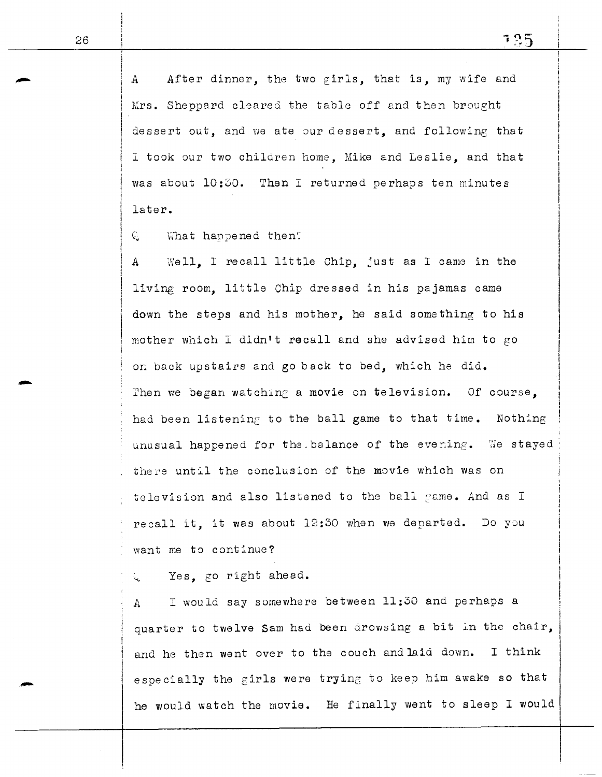*A*  After dinner, the two girls, that is, my wife and Mrs. Sheppard cleared the table off and then brought dessert out, and we ate our dessert, and following that  $\vert$ I took our two children home, Mike and Leslie, and that was about 10:30. Then I returned perhaps ten minutes later.

Q What happened then?

*<sup>A</sup>*"Nell, I recall little Chip, just as I came in the living room. little Chip dressed in his pajamas came down the steps and his mother, he said something to his mother which I didn't recall and she advised him to go *on* back upstairs and go back to bed, which he did. Then we began watching a movie on television. Of course. had been listening to the ball game to that time. Nothing unusual happened for the balance of the evening. We stayed there until the conclusion of the movie which was on television and also listened to the ball game. And as I recall it, it was about 12:30 when we departed. Do you want me to continue?

Yes, go right ahead.

A I would say somewhere between 11:30 and perhaps a quarter to twelve Sam had been drowsing a bit in the chair, and he then went over to the couch and laid down. I think especially the girls were trying to keep him awake so that he would watch the movie. He finally went to sleep I would

i

I

-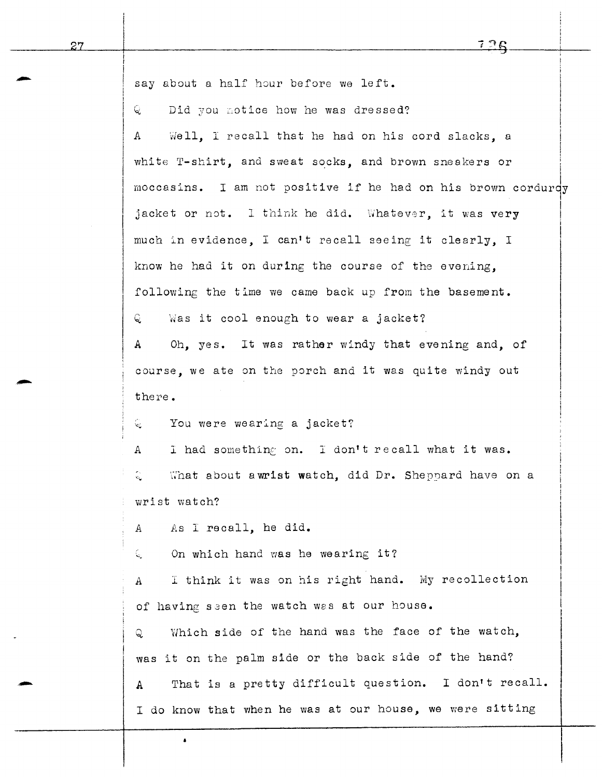| say about a half hour before we left.                             |
|-------------------------------------------------------------------|
| Did you notice how he was dressed?<br>ୟ                           |
| Well, I recall that he had on his cord slacks, a<br>$\mathbf{A}$  |
| white T-shirt, and sweat socks, and brown sneakers or             |
| moccasins. I am not positive if he had on his brown cordurdy      |
| jacket or not. I think he did. Whatever, it was very              |
| much in evidence, I can't recall seeing it clearly, I             |
| know he had it on during the course of the evening.               |
| following the time we came back up from the basement.             |
| Was it cool enough to wear a jacket?<br>Q.                        |
| Oh, yes. It was rather windy that evening and, of<br>$\mathbf{A}$ |
| course, we ate on the porch and it was quite windy out            |
| there.                                                            |
| You were wearing a jacket?<br>୍                                   |
| I had something on. I don't recall what it was.<br>$\mathbf{A}$   |
| ्<br>What about a wrist watch, did Dr. Sheppard have on a         |
| wrist watch?                                                      |
| As I recall, he did.<br>$\mathbf{A}$                              |
| On which hand was he wearing it?<br>Q.                            |
| I think it was on his right hand. My recollection<br>$\mathbf{A}$ |
| of having seen the watch was at our house.                        |
| Which side of the hand was the face of the watch,<br>ର            |
| was it on the palm side or the back side of the hand?             |
| That is a pretty difficult question. I don't recall.<br>А         |
| I do know that when he was at our house, we were sitting          |

 $\pmb{\cdot}$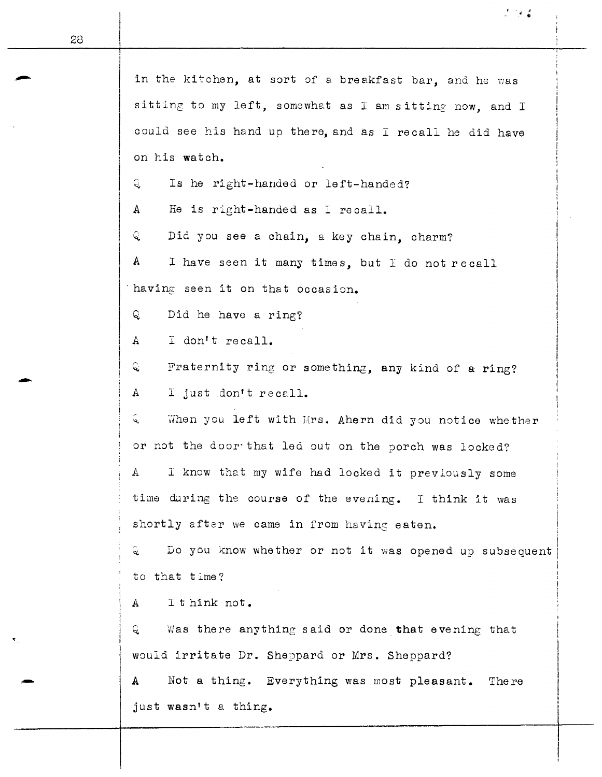| in the kitchen, at sort of a breakfast bar, and he was                      |  |  |
|-----------------------------------------------------------------------------|--|--|
| sitting to my left, somewhat as I am sitting now, and I                     |  |  |
| could see his hand up there, and as I recall he did have                    |  |  |
| on his watch.                                                               |  |  |
| Is he right-handed or left-handed?<br>୍                                     |  |  |
| He is right-handed as I recall.<br>A                                        |  |  |
| ୍ଦ୍ର<br>Did you see a chain, a key chain, charm?                            |  |  |
| $\mathbf{A}$<br>I have seen it many times, but I do not recall              |  |  |
| having seen it on that occasion.                                            |  |  |
| Q<br>Did he have a ring?                                                    |  |  |
| I don't recall.<br>$\mathbf{A}$                                             |  |  |
| Q.<br>Fraternity ring or something, any kind of a ring?                     |  |  |
| I just don't recall.<br>A                                                   |  |  |
| $\hat{\mathcal{L}}$<br>When you left with Mrs. Ahern did you notice whether |  |  |
| or not the door that led out on the porch was locked?                       |  |  |
| I know that my wife had locked it previously some<br>A                      |  |  |
| time during the course of the evening. I think it was                       |  |  |
| shortly after we came in from having eaten.                                 |  |  |
| ୍ତ<br>Do you know whether or not it was opened up subsequent                |  |  |
| to that time?                                                               |  |  |
| I t hink not.<br>$\mathbf{A}$                                               |  |  |
| Was there anything said or done that evening that<br>Q                      |  |  |
| would irritate Dr. Sheppard or Mrs. Sheppard?                               |  |  |
| Not a thing. Everything was most pleasant.<br>A<br>The re                   |  |  |
| just wasn't a thing.                                                        |  |  |

28

-